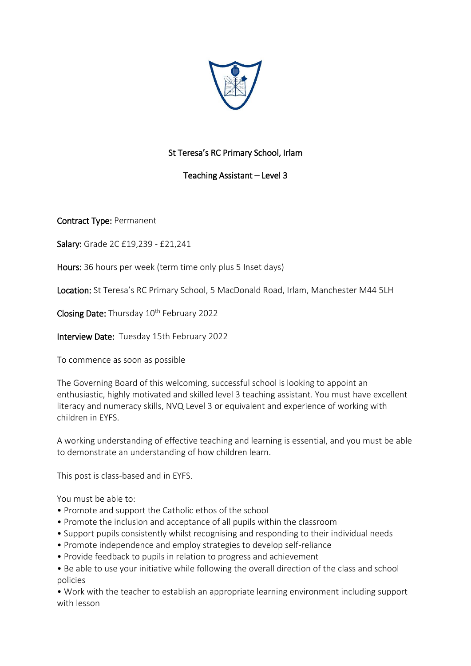

## St Teresa's RC Primary School, Irlam

## Teaching Assistant – Level 3

Contract Type: Permanent

Salary: Grade 2C £19,239 - £21,241

Hours: 36 hours per week (term time only plus 5 Inset days)

Location: St Teresa's RC Primary School, 5 MacDonald Road, Irlam, Manchester M44 5LH

Closing Date: Thursday 10<sup>th</sup> February 2022

Interview Date: Tuesday 15th February 2022

To commence as soon as possible

The Governing Board of this welcoming, successful school is looking to appoint an enthusiastic, highly motivated and skilled level 3 teaching assistant. You must have excellent literacy and numeracy skills, NVQ Level 3 or equivalent and experience of working with children in EYFS.

A working understanding of effective teaching and learning is essential, and you must be able to demonstrate an understanding of how children learn.

This post is class-based and in EYFS.

You must be able to:

- Promote and support the Catholic ethos of the school
- Promote the inclusion and acceptance of all pupils within the classroom
- Support pupils consistently whilst recognising and responding to their individual needs
- Promote independence and employ strategies to develop self-reliance
- Provide feedback to pupils in relation to progress and achievement
- Be able to use your initiative while following the overall direction of the class and school policies

• Work with the teacher to establish an appropriate learning environment including support with lesson